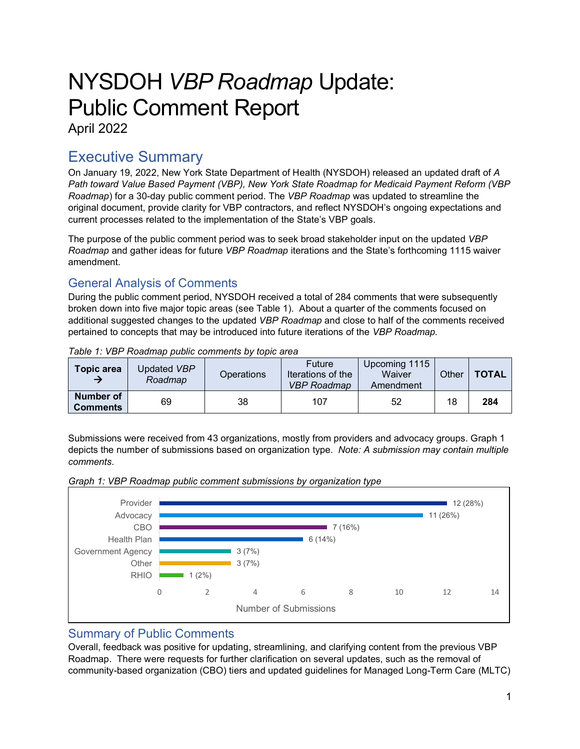# NYSDOH *VBP Roadmap* Update: Public Comment Report

April 2022

# Executive Summary

On January 19, 2022, New York State Department of Health (NYSDOH) released an updated draft of *A Path toward Value Based Payment (VBP), New York State Roadmap for Medicaid Payment Reform (VBP Roadmap*) for a 30-day public comment period. The *VBP Roadmap* was updated to streamline the original document, provide clarity for VBP contractors, and reflect NYSDOH's ongoing expectations and current processes related to the implementation of the State's VBP goals.

The purpose of the public comment period was to seek broad stakeholder input on the updated *VBP Roadmap* and gather ideas for future *VBP Roadmap* iterations and the State's forthcoming 1115 waiver amendment.

# General Analysis of Comments

During the public comment period, NYSDOH received a total of 284 comments that were subsequently broken down into five major topic areas (see Table 1). About a quarter of the comments focused on additional suggested changes to the updated *VBP Roadmap* and close to half of the comments received pertained to concepts that may be introduced into future iterations of the *VBP Roadmap.* 

| Topic area                   | Updated <i>VBP</i><br>Roadmap | Operations | Future<br>Iterations of the<br><b>VBP Roadmap</b> | Upcoming 1115<br>Waiver<br>Amendment | Other | <b>TOTAL</b> |
|------------------------------|-------------------------------|------------|---------------------------------------------------|--------------------------------------|-------|--------------|
| Number of<br><b>Comments</b> | 69                            | 38         | 107                                               | 52                                   | 18    | 284          |

*Table 1: VBP Roadmap public comments by topic area*

Submissions were received from 43 organizations, mostly from providers and advocacy groups. Graph 1 depicts the number of submissions based on organization type. *Note: A submission may contain multiple comments.*



### *Graph 1: VBP Roadmap public comment submissions by organization type*

# Summary of Public Comments

Overall, feedback was positive for updating, streamlining, and clarifying content from the previous VBP Roadmap. There were requests for further clarification on several updates, such as the removal of community-based organization (CBO) tiers and updated guidelines for Managed Long-Term Care (MLTC)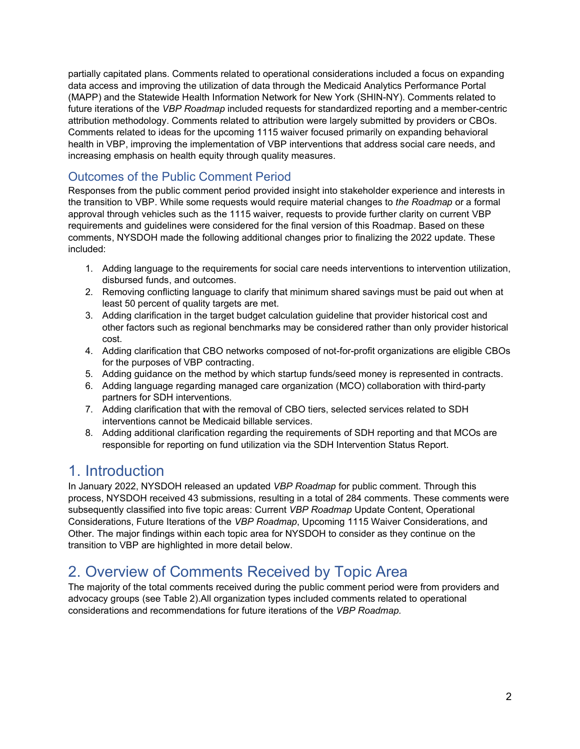partially capitated plans. Comments related to operational considerations included a focus on expanding data access and improving the utilization of data through the Medicaid Analytics Performance Portal (MAPP) and the Statewide Health Information Network for New York (SHIN-NY). Comments related to future iterations of the *VBP Roadmap* included requests for standardized reporting and a member-centric attribution methodology. Comments related to attribution were largely submitted by providers or CBOs. Comments related to ideas for the upcoming 1115 waiver focused primarily on expanding behavioral health in VBP, improving the implementation of VBP interventions that address social care needs, and increasing emphasis on health equity through quality measures.

### Outcomes of the Public Comment Period

Responses from the public comment period provided insight into stakeholder experience and interests in the transition to VBP. While some requests would require material changes to *the Roadmap* or a formal approval through vehicles such as the 1115 waiver, requests to provide further clarity on current VBP requirements and guidelines were considered for the final version of this Roadmap. Based on these comments, NYSDOH made the following additional changes prior to finalizing the 2022 update. These included:

- 1. Adding language to the requirements for social care needs interventions to intervention utilization, disbursed funds, and outcomes.
- 2. Removing conflicting language to clarify that minimum shared savings must be paid out when at least 50 percent of quality targets are met.
- 3. Adding clarification in the target budget calculation guideline that provider historical cost and other factors such as regional benchmarks may be considered rather than only provider historical cost.
- 4. Adding clarification that CBO networks composed of not-for-profit organizations are eligible CBOs for the purposes of VBP contracting.
- 5. Adding guidance on the method by which startup funds/seed money is represented in contracts.
- 6. Adding language regarding managed care organization (MCO) collaboration with third-party partners for SDH interventions*.*
- 7. Adding clarification that with the removal of CBO tiers, selected services related to SDH interventions cannot be Medicaid billable services.
- 8. Adding additional clarification regarding the requirements of SDH reporting and that MCOs are responsible for reporting on fund utilization via the SDH Intervention Status Report.

# 1. Introduction

In January 2022, NYSDOH released an updated *VBP Roadmap* for public comment. Through this process, NYSDOH received 43 submissions, resulting in a total of 284 comments. These comments were subsequently classified into five topic areas: Current *VBP Roadmap* Update Content, Operational Considerations, Future Iterations of the *VBP Roadmap*, Upcoming 1115 Waiver Considerations, and Other. The major findings within each topic area for NYSDOH to consider as they continue on the transition to VBP are highlighted in more detail below.

# 2. Overview of Comments Received by Topic Area

The majority of the total comments received during the public comment period were from providers and advocacy groups (see Table 2).All organization types included comments related to operational considerations and recommendations for future iterations of the *VBP Roadmap.*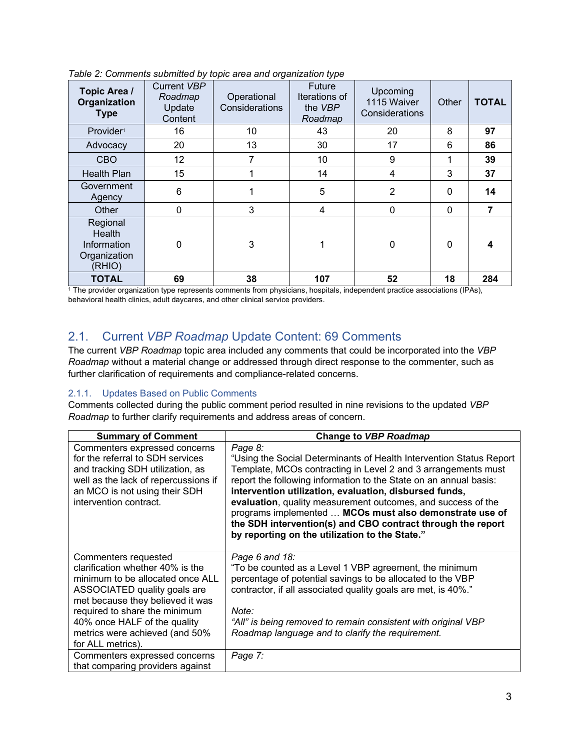| Topic Area /<br><b>Organization</b><br><b>Type</b>          | Current VBP<br>Roadmap<br>Update<br>Content | Operational<br>Considerations | <b>Future</b><br>Iterations of<br>the VBP<br>Roadmap | Upcoming<br>1115 Waiver<br>Considerations | Other | <b>TOTAL</b> |
|-------------------------------------------------------------|---------------------------------------------|-------------------------------|------------------------------------------------------|-------------------------------------------|-------|--------------|
| Provider <sup>1</sup>                                       | 16                                          | 10                            | 43                                                   | 20                                        | 8     | 97           |
| Advocacy                                                    | 20                                          | 13                            | 30                                                   | 17                                        | 6     | 86           |
| <b>CBO</b>                                                  | 12                                          | 7                             | 10                                                   | 9                                         | 1     | 39           |
| <b>Health Plan</b>                                          | 15                                          |                               | 14                                                   | 4                                         | 3     | 37           |
| Government<br>Agency                                        | 6                                           |                               | 5                                                    | $\overline{2}$                            | 0     | 14           |
| Other                                                       | $\mathbf 0$                                 | 3                             | $\overline{4}$                                       | 0                                         | 0     | 7            |
| Regional<br>Health<br>Information<br>Organization<br>(RHIO) | 0                                           | 3                             | 1                                                    | 0                                         | 0     | 4            |
| <b>TOTAL</b>                                                | 69                                          | 38                            | 107                                                  | 52                                        | 18    | 284          |

*Table 2: Comments submitted by topic area and organization type*

<sup>1</sup> The provider organization type represents comments from physicians, hospitals, independent practice associations (IPAs), behavioral health clinics, adult daycares, and other clinical service providers.

# 2.1. Current *VBP Roadmap* Update Content: 69 Comments

The current *VBP Roadmap* topic area included any comments that could be incorporated into the *VBP Roadmap* without a material change or addressed through direct response to the commenter, such as further clarification of requirements and compliance-related concerns.

#### 2.1.1. Updates Based on Public Comments

Comments collected during the public comment period resulted in nine revisions to the updated *VBP Roadmap* to further clarify requirements and address areas of concern.

| <b>Summary of Comment</b>                                                                                                                                                                                                                                                                | Change to VBP Roadmap                                                                                                                                                                                                                                                                                                                                                                                                                                                                                                      |
|------------------------------------------------------------------------------------------------------------------------------------------------------------------------------------------------------------------------------------------------------------------------------------------|----------------------------------------------------------------------------------------------------------------------------------------------------------------------------------------------------------------------------------------------------------------------------------------------------------------------------------------------------------------------------------------------------------------------------------------------------------------------------------------------------------------------------|
| Commenters expressed concerns<br>for the referral to SDH services<br>and tracking SDH utilization, as<br>well as the lack of repercussions if<br>an MCO is not using their SDH<br>intervention contract.                                                                                 | Page 8:<br>"Using the Social Determinants of Health Intervention Status Report<br>Template, MCOs contracting in Level 2 and 3 arrangements must<br>report the following information to the State on an annual basis:<br>intervention utilization, evaluation, disbursed funds,<br>evaluation, quality measurement outcomes, and success of the<br>programs implemented  MCOs must also demonstrate use of<br>the SDH intervention(s) and CBO contract through the report<br>by reporting on the utilization to the State." |
| Commenters requested<br>clarification whether 40% is the<br>minimum to be allocated once ALL<br>ASSOCIATED quality goals are<br>met because they believed it was<br>required to share the minimum<br>40% once HALF of the quality<br>metrics were achieved (and 50%<br>for ALL metrics). | Page 6 and 18:<br>"To be counted as a Level 1 VBP agreement, the minimum<br>percentage of potential savings to be allocated to the VBP<br>contractor, if all associated quality goals are met, is 40%."<br>Note:<br>"All" is being removed to remain consistent with original VBP<br>Roadmap language and to clarify the requirement.                                                                                                                                                                                      |
| Commenters expressed concerns<br>that comparing providers against                                                                                                                                                                                                                        | Page 7:                                                                                                                                                                                                                                                                                                                                                                                                                                                                                                                    |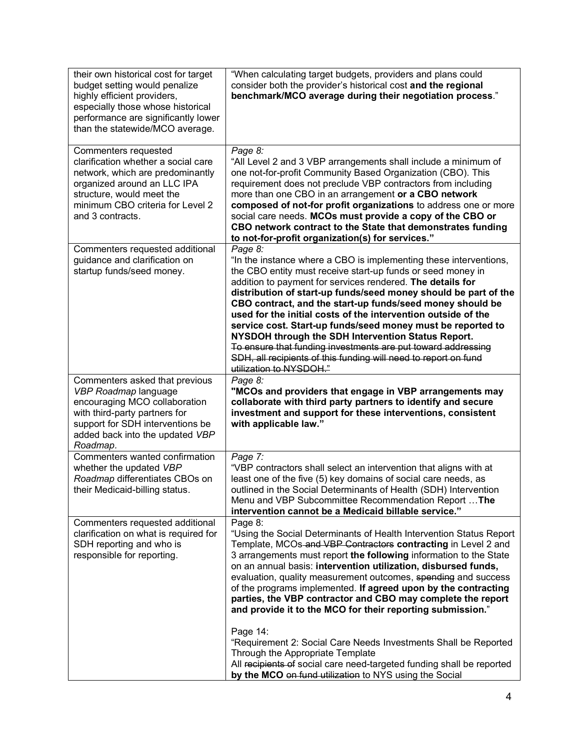| their own historical cost for target<br>budget setting would penalize<br>highly efficient providers,<br>especially those whose historical<br>performance are significantly lower<br>than the statewide/MCO average. | "When calculating target budgets, providers and plans could<br>consider both the provider's historical cost and the regional<br>benchmark/MCO average during their negotiation process."                                                                                                                                                                                                                                                                                                                                                                                                                                                                                                      |
|---------------------------------------------------------------------------------------------------------------------------------------------------------------------------------------------------------------------|-----------------------------------------------------------------------------------------------------------------------------------------------------------------------------------------------------------------------------------------------------------------------------------------------------------------------------------------------------------------------------------------------------------------------------------------------------------------------------------------------------------------------------------------------------------------------------------------------------------------------------------------------------------------------------------------------|
| Commenters requested<br>clarification whether a social care<br>network, which are predominantly<br>organized around an LLC IPA<br>structure, would meet the<br>minimum CBO criteria for Level 2<br>and 3 contracts. | Page 8:<br>"All Level 2 and 3 VBP arrangements shall include a minimum of<br>one not-for-profit Community Based Organization (CBO). This<br>requirement does not preclude VBP contractors from including<br>more than one CBO in an arrangement or a CBO network<br>composed of not-for profit organizations to address one or more<br>social care needs. MCOs must provide a copy of the CBO or<br>CBO network contract to the State that demonstrates funding<br>to not-for-profit organization(s) for services."                                                                                                                                                                           |
| Commenters requested additional<br>guidance and clarification on<br>startup funds/seed money.                                                                                                                       | Page 8:<br>"In the instance where a CBO is implementing these interventions,<br>the CBO entity must receive start-up funds or seed money in<br>addition to payment for services rendered. The details for<br>distribution of start-up funds/seed money should be part of the<br>CBO contract, and the start-up funds/seed money should be<br>used for the initial costs of the intervention outside of the<br>service cost. Start-up funds/seed money must be reported to<br>NYSDOH through the SDH Intervention Status Report.<br>To ensure that funding investments are put toward addressing<br>SDH, all recipients of this funding will need to report on fund<br>utilization to NYSDOH." |
| Commenters asked that previous<br>VBP Roadmap language<br>encouraging MCO collaboration<br>with third-party partners for<br>support for SDH interventions be<br>added back into the updated VBP<br>Roadmap.         | Page 8:<br>"MCOs and providers that engage in VBP arrangements may<br>collaborate with third party partners to identify and secure<br>investment and support for these interventions, consistent<br>with applicable law."                                                                                                                                                                                                                                                                                                                                                                                                                                                                     |
| Commenters wanted confirmation<br>whether the updated VBP<br>Roadmap differentiates CBOs on<br>their Medicaid-billing status.                                                                                       | Page 7:<br>"VBP contractors shall select an intervention that aligns with at<br>least one of the five (5) key domains of social care needs, as<br>outlined in the Social Determinants of Health (SDH) Intervention<br>Menu and VBP Subcommittee Recommendation Report  The<br>intervention cannot be a Medicaid billable service."                                                                                                                                                                                                                                                                                                                                                            |
| Commenters requested additional<br>clarification on what is required for<br>SDH reporting and who is<br>responsible for reporting.                                                                                  | Page 8:<br>"Using the Social Determinants of Health Intervention Status Report<br>Template, MCOs-and VBP Contractors contracting in Level 2 and<br>3 arrangements must report the following information to the State<br>on an annual basis: intervention utilization, disbursed funds,<br>evaluation, quality measurement outcomes, spending and success<br>of the programs implemented. If agreed upon by the contracting<br>parties, the VBP contractor and CBO may complete the report<br>and provide it to the MCO for their reporting submission."                                                                                                                                       |
|                                                                                                                                                                                                                     | Page 14:<br>"Requirement 2: Social Care Needs Investments Shall be Reported<br>Through the Appropriate Template<br>All recipients of social care need-targeted funding shall be reported<br>by the MCO on fund utilization to NYS using the Social                                                                                                                                                                                                                                                                                                                                                                                                                                            |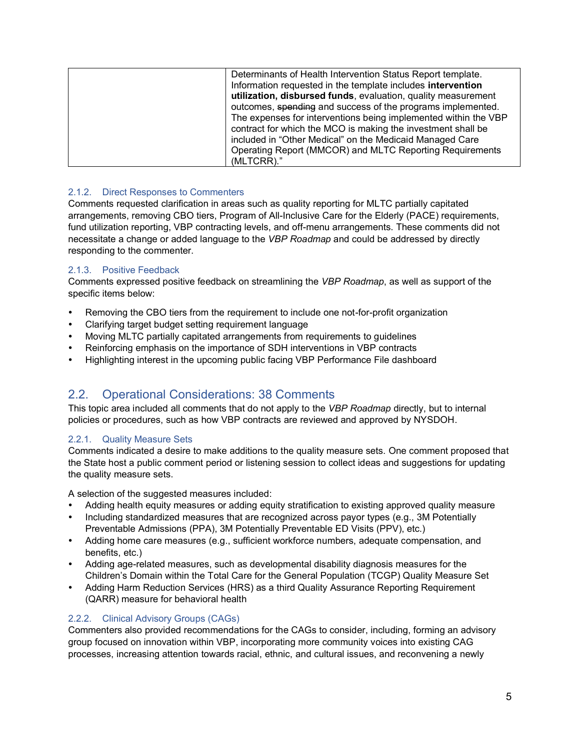#### 2.1.2. Direct Responses to Commenters

Comments requested clarification in areas such as quality reporting for MLTC partially capitated arrangements, removing CBO tiers, Program of All-Inclusive Care for the Elderly (PACE) requirements, fund utilization reporting, VBP contracting levels, and off-menu arrangements. These comments did not necessitate a change or added language to the *VBP Roadmap* and could be addressed by directly responding to the commenter.

#### 2.1.3. Positive Feedback

Comments expressed positive feedback on streamlining the *VBP Roadmap*, as well as support of the specific items below:

- Removing the CBO tiers from the requirement to include one not-for-profit organization
- Clarifying target budget setting requirement language
- Moving MLTC partially capitated arrangements from requirements to guidelines
- Reinforcing emphasis on the importance of SDH interventions in VBP contracts
- Highlighting interest in the upcoming public facing VBP Performance File dashboard

# 2.2. Operational Considerations: 38 Comments

This topic area included all comments that do not apply to the *VBP Roadmap* directly, but to internal policies or procedures, such as how VBP contracts are reviewed and approved by NYSDOH.

#### 2.2.1. Quality Measure Sets

Comments indicated a desire to make additions to the quality measure sets. One comment proposed that the State host a public comment period or listening session to collect ideas and suggestions for updating the quality measure sets.

A selection of the suggested measures included:

- Adding health equity measures or adding equity stratification to existing approved quality measure
- Including standardized measures that are recognized across payor types (e.g., 3M Potentially Preventable Admissions (PPA), 3M Potentially Preventable ED Visits (PPV), etc.)
- Adding home care measures (e.g., sufficient workforce numbers, adequate compensation, and benefits, etc.)
- Adding age-related measures, such as developmental disability diagnosis measures for the Children's Domain within the Total Care for the General Population (TCGP) Quality Measure Set
- Adding Harm Reduction Services (HRS) as a third Quality Assurance Reporting Requirement (QARR) measure for behavioral health

#### 2.2.2. Clinical Advisory Groups (CAGs)

Commenters also provided recommendations for the CAGs to consider, including, forming an advisory group focused on innovation within VBP, incorporating more community voices into existing CAG processes, increasing attention towards racial, ethnic, and cultural issues, and reconvening a newly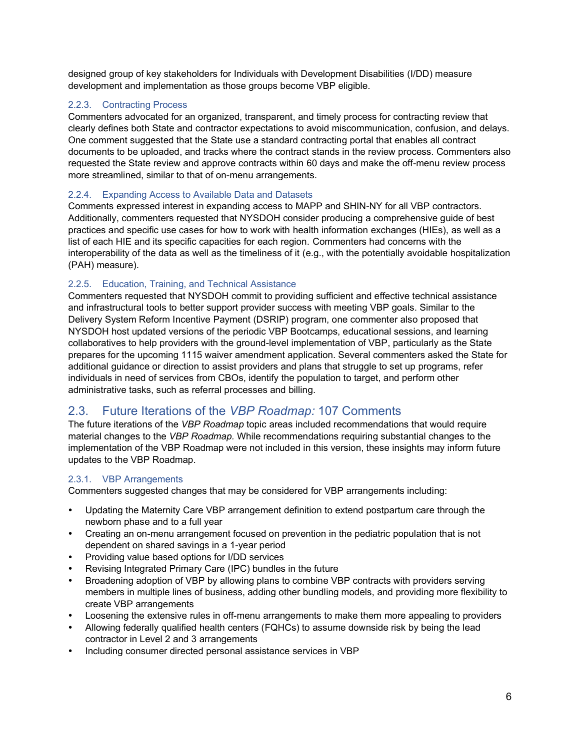designed group of key stakeholders for Individuals with Development Disabilities (I/DD) measure development and implementation as those groups become VBP eligible.

#### 2.2.3. Contracting Process

Commenters advocated for an organized, transparent, and timely process for contracting review that clearly defines both State and contractor expectations to avoid miscommunication, confusion, and delays. One comment suggested that the State use a standard contracting portal that enables all contract documents to be uploaded, and tracks where the contract stands in the review process. Commenters also requested the State review and approve contracts within 60 days and make the off-menu review process more streamlined, similar to that of on-menu arrangements.

#### 2.2.4. Expanding Access to Available Data and Datasets

Comments expressed interest in expanding access to MAPP and SHIN-NY for all VBP contractors. Additionally, commenters requested that NYSDOH consider producing a comprehensive guide of best practices and specific use cases for how to work with health information exchanges (HIEs), as well as a list of each HIE and its specific capacities for each region. Commenters had concerns with the interoperability of the data as well as the timeliness of it (e.g., with the potentially avoidable hospitalization (PAH) measure).

#### 2.2.5. Education, Training, and Technical Assistance

Commenters requested that NYSDOH commit to providing sufficient and effective technical assistance and infrastructural tools to better support provider success with meeting VBP goals. Similar to the Delivery System Reform Incentive Payment (DSRIP) program, one commenter also proposed that NYSDOH host updated versions of the periodic VBP Bootcamps, educational sessions, and learning collaboratives to help providers with the ground-level implementation of VBP, particularly as the State prepares for the upcoming 1115 waiver amendment application. Several commenters asked the State for additional guidance or direction to assist providers and plans that struggle to set up programs, refer individuals in need of services from CBOs, identify the population to target, and perform other administrative tasks, such as referral processes and billing.

### 2.3. Future Iterations of the *VBP Roadmap:* 107 Comments

The future iterations of the *VBP Roadmap* topic areas included recommendations that would require material changes to the *VBP Roadmap.* While recommendations requiring substantial changes to the implementation of the VBP Roadmap were not included in this version, these insights may inform future updates to the VBP Roadmap.

#### 2.3.1. VBP Arrangements

Commenters suggested changes that may be considered for VBP arrangements including:

- Updating the Maternity Care VBP arrangement definition to extend postpartum care through the newborn phase and to a full year
- Creating an on-menu arrangement focused on prevention in the pediatric population that is not dependent on shared savings in a 1-year period
- Providing value based options for I/DD services
- Revising Integrated Primary Care (IPC) bundles in the future
- Broadening adoption of VBP by allowing plans to combine VBP contracts with providers serving members in multiple lines of business, adding other bundling models, and providing more flexibility to create VBP arrangements
- Loosening the extensive rules in off-menu arrangements to make them more appealing to providers
- Allowing federally qualified health centers (FQHCs) to assume downside risk by being the lead contractor in Level 2 and 3 arrangements
- Including consumer directed personal assistance services in VBP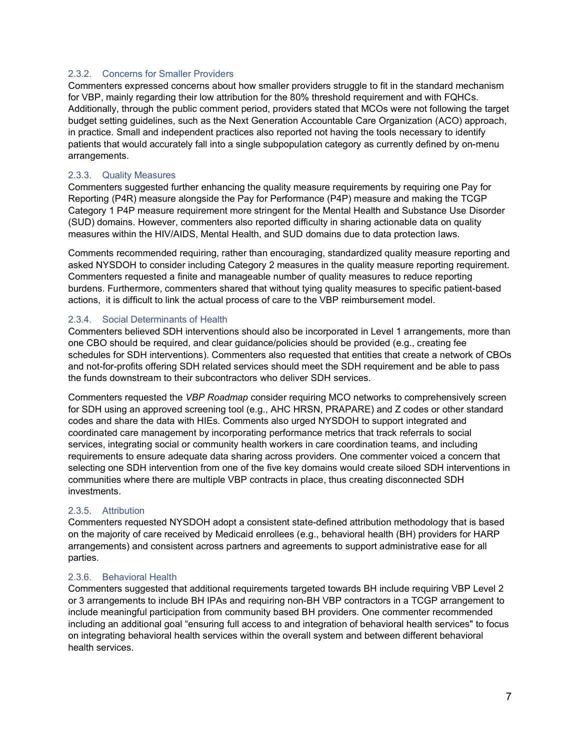#### 2.3.2. Concerns for Smaller Providers

Commenters expressed concerns about how smaller providers struggle to fit in the standard mechanism for VBP, mainly regarding their low attribution for the 80% threshold requirement and with FQHCs. Additionally, through the public comment period, providers stated that MCOs were not following the target budget setting guidelines, such as the Next Generation Accountable Care Organization (ACO) approach, in practice. Small and independent practices also reported not having the tools necessary to identify patients that would accurately fall into a single subpopulation category as currently defined by on-menu arrangements.

#### 2.3.3. Quality Measures

Commenters suggested further enhancing the quality measure requirements by requiring one Pay for Reporting (P4R) measure alongside the Pay for Performance (P4P) measure and making the TCGP Category 1 P4P measure requirement more stringent for the Mental Health and Substance Use Disorder (SUD) domains. However, commenters also reported difficulty in sharing actionable data on quality measures within the HIV/AIDS, Mental Health, and SUD domains due to data protection laws.

Comments recommended requiring, rather than encouraging, standardized quality measure reporting and asked NYSDOH to consider including Category 2 measures in the quality measure reporting requirement. Commenters requested a finite and manageable number of quality measures to reduce reporting burdens. Furthermore, commenters shared that without tying quality measures to specific patient-based actions, it is difficult to link the actual process of care to the VBP reimbursement model.

#### 2.3.4. Social Determinants of Health

Commenters believed SDH interventions should also be incorporated in Level 1 arrangements, more than one CBO should be required, and clear guidance/policies should be provided (e.g., creating fee schedules for SDH interventions). Commenters also requested that entities that create a network of CBOs and not-for-profits offering SDH related services should meet the SDH requirement and be able to pass the funds downstream to their subcontractors who deliver SDH services.

Commenters requested the *VBP Roadmap* consider requiring MCO networks to comprehensively screen for SDH using an approved screening tool (e.g., AHC HRSN, PRAPARE) and Z codes or other standard codes and share the data with HIEs. Comments also urged NYSDOH to support integrated and coordinated care management by incorporating performance metrics that track referrals to social services, integrating social or community health workers in care coordination teams, and including requirements to ensure adequate data sharing across providers. One commenter voiced a concern that selecting one SDH intervention from one of the five key domains would create siloed SDH interventions in communities where there are multiple VBP contracts in place, thus creating disconnected SDH investments.

#### 2.3.5. Attribution

Commenters requested NYSDOH adopt a consistent state-defined attribution methodology that is based on the majority of care received by Medicaid enrollees (e.g., behavioral health (BH) providers for HARP arrangements) and consistent across partners and agreements to support administrative ease for all parties.

#### 2.3.6. Behavioral Health

Commenters suggested that additional requirements targeted towards BH include requiring VBP Level 2 or 3 arrangements to include BH IPAs and requiring non-BH VBP contractors in a TCGP arrangement to include meaningful participation from community based BH providers. One commenter recommended including an additional goal "ensuring full access to and integration of behavioral health services" to focus on integrating behavioral health services within the overall system and between different behavioral health services.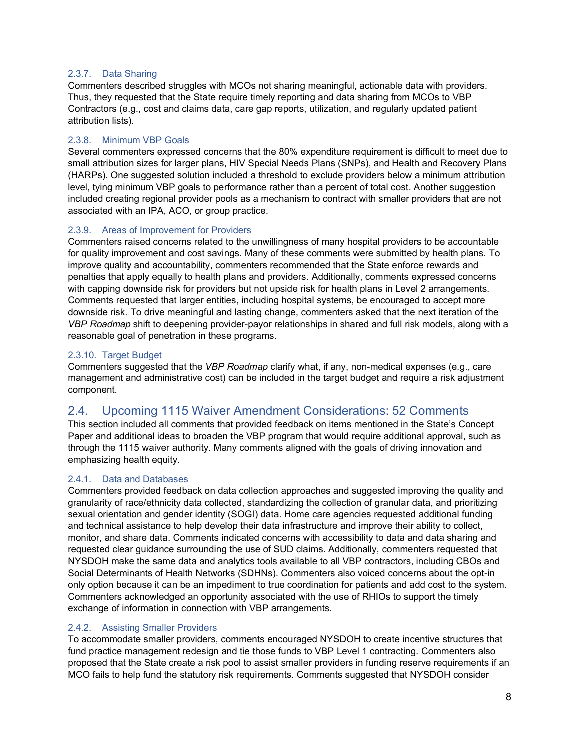#### 2.3.7. Data Sharing

Commenters described struggles with MCOs not sharing meaningful, actionable data with providers. Thus, they requested that the State require timely reporting and data sharing from MCOs to VBP Contractors (e.g., cost and claims data, care gap reports, utilization, and regularly updated patient attribution lists).

#### 2.3.8. Minimum VBP Goals

Several commenters expressed concerns that the 80% expenditure requirement is difficult to meet due to small attribution sizes for larger plans, HIV Special Needs Plans (SNPs), and Health and Recovery Plans (HARPs). One suggested solution included a threshold to exclude providers below a minimum attribution level, tying minimum VBP goals to performance rather than a percent of total cost. Another suggestion included creating regional provider pools as a mechanism to contract with smaller providers that are not associated with an IPA, ACO, or group practice.

#### 2.3.9. Areas of Improvement for Providers

Commenters raised concerns related to the unwillingness of many hospital providers to be accountable for quality improvement and cost savings. Many of these comments were submitted by health plans. To improve quality and accountability, commenters recommended that the State enforce rewards and penalties that apply equally to health plans and providers. Additionally, comments expressed concerns with capping downside risk for providers but not upside risk for health plans in Level 2 arrangements. Comments requested that larger entities, including hospital systems, be encouraged to accept more downside risk. To drive meaningful and lasting change, commenters asked that the next iteration of the *VBP Roadmap* shift to deepening provider-payor relationships in shared and full risk models, along with a reasonable goal of penetration in these programs.

#### 2.3.10. Target Budget

Commenters suggested that the *VBP Roadmap* clarify what, if any, non-medical expenses (e.g., care management and administrative cost) can be included in the target budget and require a risk adjustment component.

### 2.4. Upcoming 1115 Waiver Amendment Considerations: 52 Comments

This section included all comments that provided feedback on items mentioned in the State's Concept Paper and additional ideas to broaden the VBP program that would require additional approval, such as through the 1115 waiver authority. Many comments aligned with the goals of driving innovation and emphasizing health equity.

#### 2.4.1. Data and Databases

Commenters provided feedback on data collection approaches and suggested improving the quality and granularity of race/ethnicity data collected, standardizing the collection of granular data, and prioritizing sexual orientation and gender identity (SOGI) data. Home care agencies requested additional funding and technical assistance to help develop their data infrastructure and improve their ability to collect, monitor, and share data. Comments indicated concerns with accessibility to data and data sharing and requested clear guidance surrounding the use of SUD claims. Additionally, commenters requested that NYSDOH make the same data and analytics tools available to all VBP contractors, including CBOs and Social Determinants of Health Networks (SDHNs). Commenters also voiced concerns about the opt-in only option because it can be an impediment to true coordination for patients and add cost to the system. Commenters acknowledged an opportunity associated with the use of RHIOs to support the timely exchange of information in connection with VBP arrangements.

#### 2.4.2. Assisting Smaller Providers

To accommodate smaller providers, comments encouraged NYSDOH to create incentive structures that fund practice management redesign and tie those funds to VBP Level 1 contracting. Commenters also proposed that the State create a risk pool to assist smaller providers in funding reserve requirements if an MCO fails to help fund the statutory risk requirements. Comments suggested that NYSDOH consider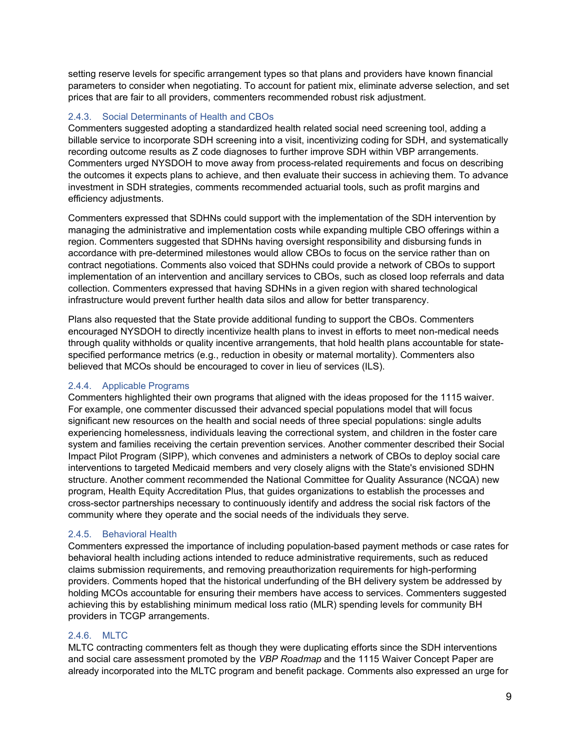setting reserve levels for specific arrangement types so that plans and providers have known financial parameters to consider when negotiating. To account for patient mix, eliminate adverse selection, and set prices that are fair to all providers, commenters recommended robust risk adjustment.

#### 2.4.3. Social Determinants of Health and CBOs

Commenters suggested adopting a standardized health related social need screening tool, adding a billable service to incorporate SDH screening into a visit, incentivizing coding for SDH, and systematically recording outcome results as Z code diagnoses to further improve SDH within VBP arrangements. Commenters urged NYSDOH to move away from process-related requirements and focus on describing the outcomes it expects plans to achieve, and then evaluate their success in achieving them. To advance investment in SDH strategies, comments recommended actuarial tools, such as profit margins and efficiency adjustments.

Commenters expressed that SDHNs could support with the implementation of the SDH intervention by managing the administrative and implementation costs while expanding multiple CBO offerings within a region. Commenters suggested that SDHNs having oversight responsibility and disbursing funds in accordance with pre-determined milestones would allow CBOs to focus on the service rather than on contract negotiations. Comments also voiced that SDHNs could provide a network of CBOs to support implementation of an intervention and ancillary services to CBOs, such as closed loop referrals and data collection. Commenters expressed that having SDHNs in a given region with shared technological infrastructure would prevent further health data silos and allow for better transparency.

Plans also requested that the State provide additional funding to support the CBOs. Commenters encouraged NYSDOH to directly incentivize health plans to invest in efforts to meet non-medical needs through quality withholds or quality incentive arrangements, that hold health plans accountable for statespecified performance metrics (e.g., reduction in obesity or maternal mortality). Commenters also believed that MCOs should be encouraged to cover in lieu of services (ILS).

#### 2.4.4. Applicable Programs

Commenters highlighted their own programs that aligned with the ideas proposed for the 1115 waiver. For example, one commenter discussed their advanced special populations model that will focus significant new resources on the health and social needs of three special populations: single adults experiencing homelessness, individuals leaving the correctional system, and children in the foster care system and families receiving the certain prevention services. Another commenter described their Social Impact Pilot Program (SIPP), which convenes and administers a network of CBOs to deploy social care interventions to targeted Medicaid members and very closely aligns with the State's envisioned SDHN structure. Another comment recommended the National Committee for Quality Assurance (NCQA) new program, Health Equity Accreditation Plus, that guides organizations to establish the processes and cross-sector partnerships necessary to continuously identify and address the social risk factors of the community where they operate and the social needs of the individuals they serve.

#### 2.4.5. Behavioral Health

Commenters expressed the importance of including population-based payment methods or case rates for behavioral health including actions intended to reduce administrative requirements, such as reduced claims submission requirements, and removing preauthorization requirements for high-performing providers. Comments hoped that the historical underfunding of the BH delivery system be addressed by holding MCOs accountable for ensuring their members have access to services. Commenters suggested achieving this by establishing minimum medical loss ratio (MLR) spending levels for community BH providers in TCGP arrangements.

#### 2.4.6. MLTC

MLTC contracting commenters felt as though they were duplicating efforts since the SDH interventions and social care assessment promoted by the *VBP Roadmap* and the 1115 Waiver Concept Paper are already incorporated into the MLTC program and benefit package. Comments also expressed an urge for